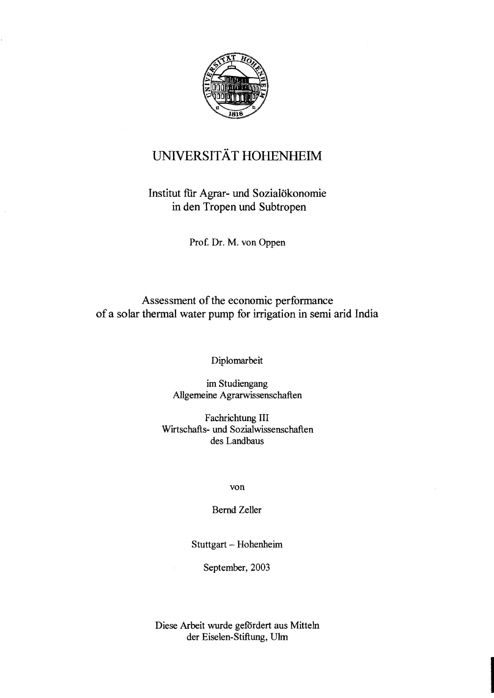

## UNIVERSITÄT HOHENHEIM

## Institut ftir Agrar- und Sozialökonomie in den Tropen und Subtropen

Prof. Dr. M. von Oppen

## Assessment of the economic performance of a solar thermal water pump for irrigation in semi arid India

Diplomarbeit

im Studiengang Allgemeine Agrarwissenschaften

Fachrichtung III Wirtschafts- und Sozialwissenschaften des Landbaus

von

Bernd Zeller

Stuttgart - Hohenheim

September, 2003

Diese Arbeit wurde gefördert aus Mitteln der Eiselen-Stiftung, Ulm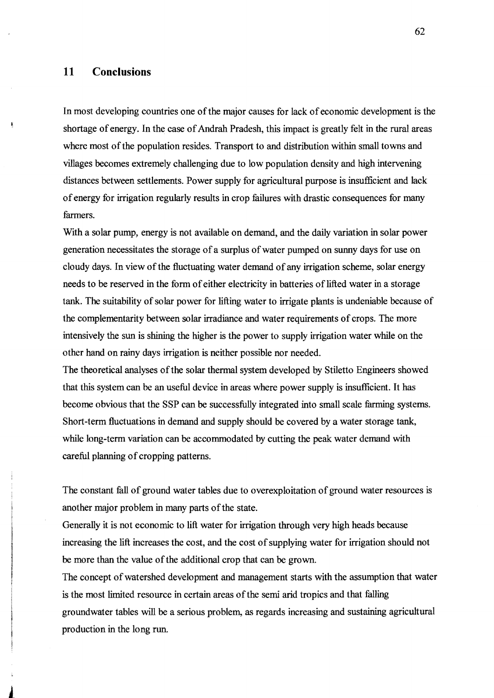## **11 ConcIusions**

In most developing countries one of the major causes for lack of economic development is the shortage of energy. In the case of Andrah Pradesh, this impact is greatly felt in the rural areas where most of the population resides. Transport to and distribution within small towns and villages becomes extremely challenging due to low population density and high intervening distances between settlements. Power supply for agricultural purpose is insufficient and lack ofenergy for irrigation regularly results in crop failures with drastic consequences for many farmers.

With a solar pump, energy is not available on demand, and the daily variation in solar power generation necessitates the storage of a surplus of water pumped on sunny days for use on cloudy days. In view of the fluctuating water demand of any irrigation scheme, solar energy needs to be reserved in the form of either electricity in batteries of lifted water in a storage tank. The suitability of solar power for lifting water to irrigate plants is undeniable because of the complementarity between solar irradiance and water requirements of crops. The more intensively the sun is shining the higher is the power to supply irrigation water while on the other hand on rainy days irrigation is neither possible nor needed.

The theoretical analyses of the solar thermal system developed by Stiletto Engineers showed that this system can be an useful device in areas where power supply is insufficient. It has become obvious that the SSP can be successfully integrated into small seale farming systems. Short-term fluctuations in demand and supply should be covered by a water storage tank, while long-term variation can be accommodated by cutting the peak water demand with careful planning of cropping patterns.

The constant fall of ground water tables due to overexploitation of ground water resources is another major problem in many parts of the state.

Generally it is not economic to lift water for irrigation through very high heads because increasing the lift increases the cost, and the cost of supplying water for irrigation should not be more than the value of the additional crop that can be grown.

The concept of watershed development and management starts with the assumption that water is the most limited resource in certain areas of the semi arid tropics and that falling groundwater tables will be a serious problem, as regards increasing and sustaining agricultural production in the long run.